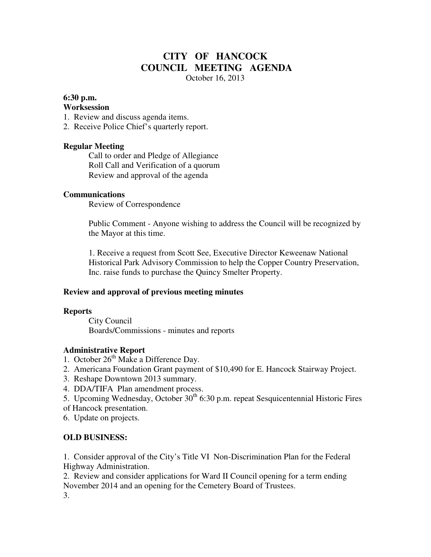# **CITY OF HANCOCK COUNCIL MEETING AGENDA**

October 16, 2013

### **6:30 p.m.**

#### **Worksession**

- 1. Review and discuss agenda items.
- 2. Receive Police Chief's quarterly report.

#### **Regular Meeting**

 Call to order and Pledge of Allegiance Roll Call and Verification of a quorum Review and approval of the agenda

#### **Communications**

Review of Correspondence

 Public Comment - Anyone wishing to address the Council will be recognized by the Mayor at this time.

1. Receive a request from Scott See, Executive Director Keweenaw National Historical Park Advisory Commission to help the Copper Country Preservation, Inc. raise funds to purchase the Quincy Smelter Property.

#### **Review and approval of previous meeting minutes**

#### **Reports**

City Council Boards/Commissions - minutes and reports

#### **Administrative Report**

- 1. October  $26<sup>th</sup>$  Make a Difference Day.
- 2. Americana Foundation Grant payment of \$10,490 for E. Hancock Stairway Project.
- 3. Reshape Downtown 2013 summary.
- 4. DDA/TIFA Plan amendment process.
- 5. Upcoming Wednesday, October  $30<sup>th</sup>$  6:30 p.m. repeat Sesquicentennial Historic Fires
- of Hancock presentation.

6. Update on projects.

## **OLD BUSINESS:**

1. Consider approval of the City's Title VI Non-Discrimination Plan for the Federal Highway Administration.

2. Review and consider applications for Ward II Council opening for a term ending November 2014 and an opening for the Cemetery Board of Trustees. 3.